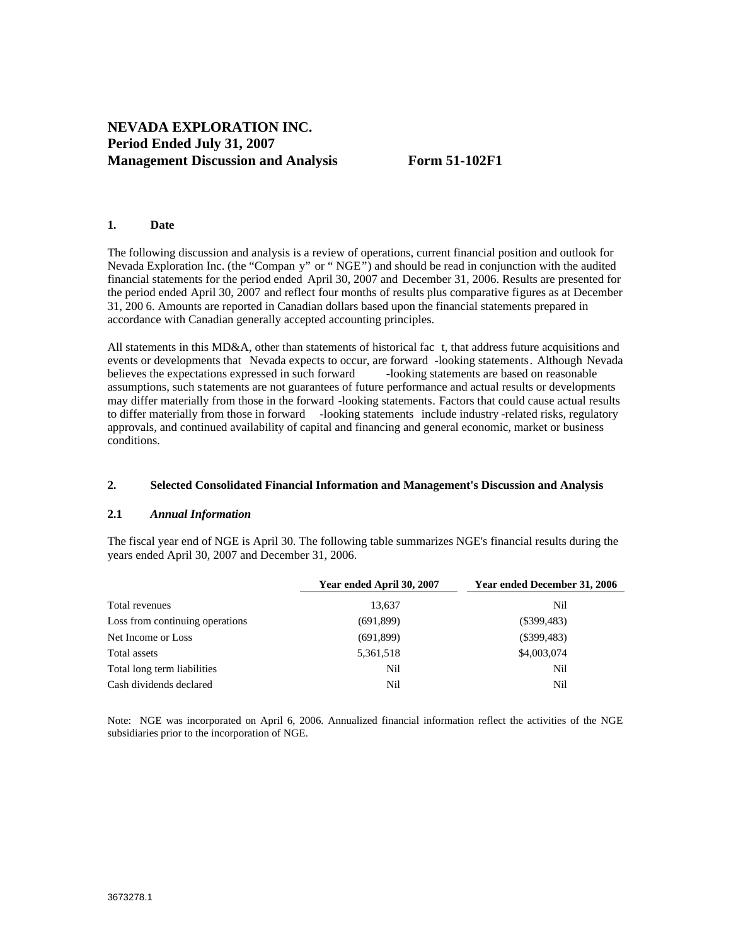# **NEVADA EXPLORATION INC. Period Ended July 31, 2007 Management Discussion and Analysis Form 51-102F1**

## **1. Date**

The following discussion and analysis is a review of operations, current financial position and outlook for Nevada Exploration Inc. (the "Compan y" or " NGE") and should be read in conjunction with the audited financial statements for the period ended April 30, 2007 and December 31, 2006. Results are presented for the period ended April 30, 2007 and reflect four months of results plus comparative figures as at December 31, 200 6. Amounts are reported in Canadian dollars based upon the financial statements prepared in accordance with Canadian generally accepted accounting principles.

All statements in this MD&A, other than statements of historical fac t, that address future acquisitions and events or developments that Nevada expects to occur, are forward -looking statements. Although Nevada<br>believes the expectations expressed in such forward -looking statements are based on reasonable believes the expectations expressed in such forward assumptions, such statements are not guarantees of future performance and actual results or developments may differ materially from those in the forward -looking statements. Factors that could cause actual results to differ materially from those in forward -looking statements include industry -related risks, regulatory approvals, and continued availability of capital and financing and general economic, market or business conditions.

#### **2. Selected Consolidated Financial Information and Management's Discussion and Analysis**

## **2.1** *Annual Information*

The fiscal year end of NGE is April 30. The following table summarizes NGE's financial results during the years ended April 30, 2007 and December 31, 2006.

|                                 | Year ended April 30, 2007 | <b>Year ended December 31, 2006</b> |
|---------------------------------|---------------------------|-------------------------------------|
| Total revenues                  | 13,637                    |                                     |
| Loss from continuing operations | (691, 899)                | $(\$399,483)$                       |
| Net Income or Loss              | (691, 899)                | $(\$399,483)$                       |
| Total assets                    | 5,361,518                 | \$4,003,074                         |
| Total long term liabilities     | Nil                       | INH                                 |
| Cash dividends declared         | Nil                       |                                     |

Note: NGE was incorporated on April 6, 2006. Annualized financial information reflect the activities of the NGE subsidiaries prior to the incorporation of NGE.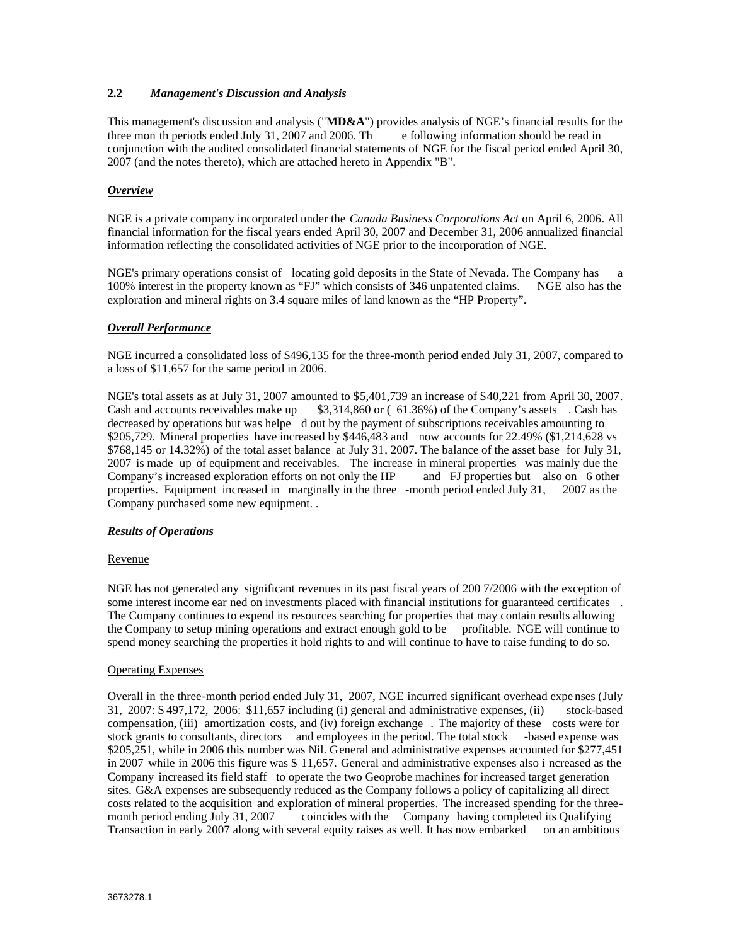## **2.2** *Management's Discussion and Analysis*

This management's discussion and analysis ("**MD&A**") provides analysis of NGE's financial results for the three mon th periods ended July 31, 2007 and 2006. Th e following information should be read in conjunction with the audited consolidated financial statements of NGE for the fiscal period ended April 30, 2007 (and the notes thereto), which are attached hereto in Appendix "B".

## *Overview*

NGE is a private company incorporated under the *Canada Business Corporations Act* on April 6, 2006. All financial information for the fiscal years ended April 30, 2007 and December 31, 2006 annualized financial information reflecting the consolidated activities of NGE prior to the incorporation of NGE.

NGE's primary operations consist of locating gold deposits in the State of Nevada. The Company has 100% interest in the property known as "FJ" which consists of 346 unpatented claims. NGE also has the exploration and mineral rights on 3.4 square miles of land known as the "HP Property".

## *Overall Performance*

NGE incurred a consolidated loss of \$496,135 for the three-month period ended July 31, 2007, compared to a loss of \$11,657 for the same period in 2006.

NGE's total assets as at July 31, 2007 amounted to \$5,401,739 an increase of \$40,221 from April 30, 2007. Cash and accounts receivables make up \$3,314,860 or ( 61.36%) of the Company's assets . Cash has decreased by operations but was helpe d out by the payment of subscriptions receivables amounting to \$205,729. Mineral properties have increased by \$446,483 and now accounts for 22.49% (\$1,214,628 vs  $$768,145$  or 14.32%) of the total asset balance at July 31, 2007. The balance of the asset base for July 31, 2007 is made up of equipment and receivables. The increase in mineral properties was mainly due the Company's increased exploration efforts on not only the HP and FJ properties but also on 6 other properties. Equipment increased in marginally in the three -month period ended July 31, 2007 as the Company purchased some new equipment. .

## *Results of Operations*

### **Revenue** et al. **Revenue** et al. **Revenue** et al. **Revenue** et al. **Revenue** et al. **Revenue** et al. **Revenue** et al. **Revenue** et al. **Revenue** et al. **Revenue** et al. **Revenue** et al. **Revenue** et al. **Revenue** et al.

NGE has not generated any significant revenues in its past fiscal years of 200 7/2006 with the exception of some interest income ear ned on investments placed with financial institutions for guaranteed certificates . The Company continues to expend its resources searching for properties that may contain results allowing the Company to setup mining operations and extract enough gold to be profitable. NGE will continue to spend money searching the properties it hold rights to and will continue to have to raise funding to do so.

#### Operating Expenses

Overall in the three-month period ended July 31, 2007, NGE incurred significant overhead expe nses (July 31, 2007: \$ 497,172, 2006: \$11,657 including (i) general and administrative expenses, (ii) stock-based compensation, (iii) amortization costs, and (iv) foreign exchange . The majority of these costs were for stock grants to consultants, directors and employees in the period. The total stock -based expense was \$205,251, while in 2006 this number was Nil. General and administrative expenses accounted for \$277,451 in 2007 while in 2006 this figure was \$ 11,657. General and administrative expenses also i ncreased as the Company increased its field staff to operate the two Geoprobe machines for increased target generation sites. G&A expenses are subsequently reduced as the Company follows a policy of capitalizing all direct costs related to the acquisition and exploration of mineral properties. The increased spending for the three-<br>month period ending July 31, 2007 coincides with the Company having completed its Qualifying coincides with the Company having completed its Qualifying Transaction in early 2007 along with several equity raises as well. It has now embarked on an ambitious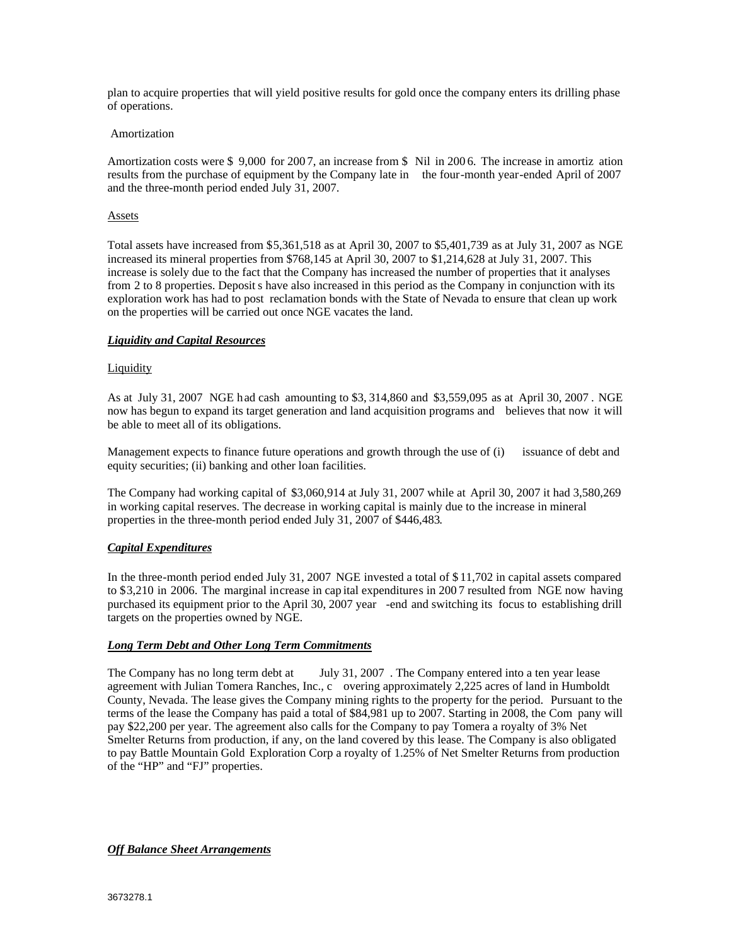plan to acquire properties that will yield positive results for gold once the company enters its drilling phase of operations. Amortization

Amortization costs were \$ 9,000 for 2007, an increase from \$ Nil in 2006. The increase in amortiz ation results from the purchase of equipment by the Company late in the four-month year-ended April of 2007 and the three-month period ended July 31, 2007.

## **Assets**

Total assets have increased from \$5,361,518 as at April 30, 2007 to \$5,401,739 as at July 31, 2007 as NGE increased its mineral properties from \$768,145 at April 30, 2007 to \$1,214,628 at July 31, 2007. This increase is solely due to the fact that the Company has increased the number of properties that it analyses from 2 to 8 properties. Deposit s have also increased in this period as the Company in conjunction with its exploration work has had to post reclamation bonds with the State of Nevada to ensure that clean up work on the properties will be carried out once NGE vacates the land.

#### *Liquidity and Capital Resources*

#### **Liquidity** the contract of the contract of the contract of the contract of the contract of the contract of the contract of the contract of the contract of the contract of the contract of the contract of the contract of th

As at July 31, 2007 NGE had cash amounting to \$3, 314,860 and \$3,559,095 as at April 30, 2007 . NGE now has begun to expand its target generation and land acquisition programs and believes that now it will be able to meet all of its obligations.

Management expects to finance future operations and growth through the use of (i) issuance of debt and equity securities; (ii) banking and other loan facilities.

The Company had working capital of \$3,060,914 at July 31, 2007 while at April 30, 2007 it had 3,580,269 in working capital reserves. The decrease in working capital is mainly due to the increase in mineral properties in the three-month period ended July 31, 2007 of \$446,483.

#### *Capital Expenditures*

In the three-month period ended July 31, 2007 NGE invested a total of \$ 11,702 in capital assets compared to \$3,210 in 2006. The marginal increase in cap ital expenditures in 200 7 resulted from NGE now having purchased its equipment prior to the April 30, 2007 year -end and switching its focus to establishing drill targets on the properties owned by NGE.

#### *Long Term Debt and Other Long Term Commitments*

The Company has no long term debt at July 31, 2007. The Company entered into a ten year lease agreement with Julian Tomera Ranches, Inc., c overing approximately 2,225 acres of land in Humboldt County, Nevada. The lease gives the Company mining rights to the property for the period. Pursuant to the terms of the lease the Company has paid a total of \$84,981 up to 2007. Starting in 2008, the Com pany will pay \$22,200 per year. The agreement also calls for the Company to pay Tomera a royalty of 3% Net Smelter Returns from production, if any, on the land covered by this lease. The Company is also obligated to pay Battle Mountain Gold Exploration Corp a royalty of 1.25% of Net Smelter Returns from production of the "HP" and "FJ" properties.

*Off Balance Sheet Arrangements*